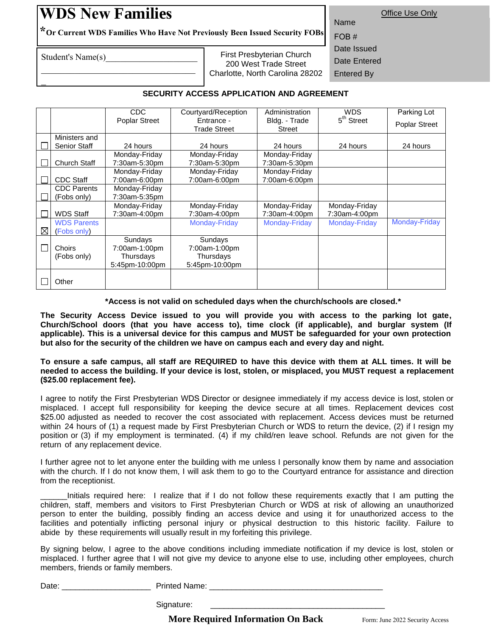## **WDS New Families**

 $\mathcal{L}_\text{max}$  , where  $\mathcal{L}_\text{max}$  , we have the set of  $\mathcal{L}_\text{max}$ 

Office Use Only Name

**\*<sup>O</sup>r Current WDS Families Who Have Not Previously Been Issued Security FOBs**

Student's Name(s)

\_

First Presbyterian Church 200 West Trade Street Charlotte, North Carolina 28202

FOB # Date Issued Date Entered Entered By

## **SECURITY ACCESS APPLICATION AND AGREEMENT**

|             |                                      | <b>CDC</b>                                              | Courtyard/Reception                                     | Administration                 | <b>WDS</b>                     | Parking Lot          |
|-------------|--------------------------------------|---------------------------------------------------------|---------------------------------------------------------|--------------------------------|--------------------------------|----------------------|
|             |                                      | <b>Poplar Street</b>                                    | Entrance -<br><b>Trade Street</b>                       | Bldg. - Trade<br>Street        | 5 <sup>th</sup> Street         | <b>Poplar Street</b> |
|             | Ministers and<br><b>Senior Staff</b> | 24 hours                                                | 24 hours                                                | 24 hours                       | 24 hours                       | 24 hours             |
|             | Church Staff                         | Monday-Friday<br>7:30am-5:30pm                          | Monday-Friday<br>7:30am-5:30pm                          | Monday-Friday<br>7:30am-5:30pm |                                |                      |
|             | <b>CDC Staff</b>                     | Monday-Friday<br>7:00am-6:00pm                          | Monday-Friday<br>7:00am-6:00pm                          | Monday-Friday<br>7:00am-6:00pm |                                |                      |
|             | <b>CDC</b> Parents<br>(Fobs only)    | Monday-Friday<br>7:30am-5:35pm                          |                                                         |                                |                                |                      |
|             | <b>WDS Staff</b>                     | Monday-Friday<br>7:30am-4:00pm                          | Monday-Friday<br>7:30am-4:00pm                          | Monday-Friday<br>7:30am-4:00pm | Monday-Friday<br>7:30am-4:00pm |                      |
| $\boxtimes$ | <b>WDS Parents</b><br>(Fobs only)    |                                                         | Monday-Friday                                           | <b>Monday-Friday</b>           | Monday-Friday                  | Monday-Friday        |
|             | Choirs<br>(Fobs only)                | Sundays<br>7:00am-1:00pm<br>Thursdays<br>5:45pm-10:00pm | Sundays<br>7:00am-1:00pm<br>Thursdays<br>5:45pm-10:00pm |                                |                                |                      |
|             | Other                                |                                                         |                                                         |                                |                                |                      |

**\*Access is not valid on scheduled days when the church/schools are closed.\***

**The Security Access Device issued to you will provide you with access to the parking lot gate, Church/School doors (that you have access to), time clock (if applicable), and burglar system (If applicable). This is a universal device for this campus and MUST be safeguarded for your own protection but also for the security of the children we have on campus each and every day and night.** 

To ensure a safe campus, all staff are REQUIRED to have this device with them at ALL times. It will be **needed to access the building. If your device is lost, stolen, or misplaced, you MUST request a replacement (\$25.00 replacement fee).** 

I agree to notify the First Presbyterian WDS Director or designee immediately if my access device is lost, stolen or misplaced. I accept full responsibility for keeping the device secure at all times. Replacement devices cost \$25.00 adjusted as needed to recover the cost associated with replacement. Access devices must be returned within 24 hours of (1) a request made by First Presbyterian Church or WDS to return the device, (2) if I resign my position or (3) if my employment is terminated. (4) if my child/ren leave school. Refunds are not given for the return of any replacement device.

I further agree not to let anyone enter the building with me unless I personally know them by name and association with the church. If I do not know them, I will ask them to go to the Courtyard entrance for assistance and direction from the receptionist.

Initials required here: I realize that if I do not follow these requirements exactly that I am putting the children, staff, members and visitors to First Presbyterian Church or WDS at risk of allowing an unauthorized person to enter the building, possibly finding an access device and using it for unauthorized access to the facilities and potentially inflicting personal injury or physical destruction to this historic facility. Failure to abide by these requirements will usually result in my forfeiting this privilege.

By signing below, I agree to the above conditions including immediate notification if my device is lost, stolen or misplaced. I further agree that I will not give my device to anyone else to use, including other employees, church members, friends or family members.

| Date: | <b>Printed Name:</b>                     |                                 |
|-------|------------------------------------------|---------------------------------|
|       | Signature:                               |                                 |
|       | <b>More Required Information On Back</b> | Form: June 2022 Security Access |